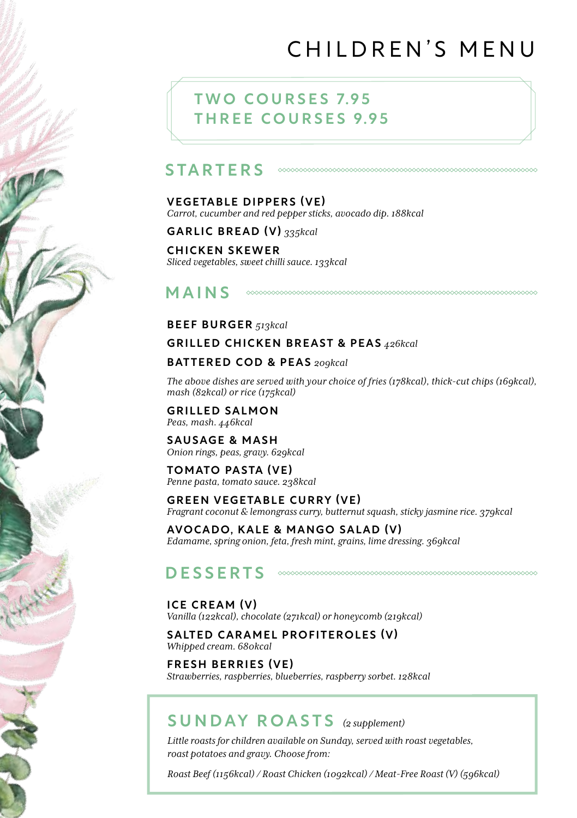# CHILDREN'S MENU

## **TWO COURSES 7.95** THREE COURSES 9.95

#### **STARTERS**

#### VEGETABLE DIPPERS (VE)

*Carrot, cucumber and red pepper sticks, avocado dip. 188kcal*

GARLIC BREAD (V) *335kcal*

#### CHICKEN SKEWER *Sliced vegetables, sweet chilli sauce. 133kcal*

MAINS

### BEEF BURGER *513kcal*

### GRILLED CHICKEN BREAST & PEAS *426kcal*

### BATTERED COD & PEAS *209kcal*

*The above dishes are served with your choice of fries (178kcal), thick-cut chips (169kcal), mash (82kcal) or rice (175kcal)*

GRILLED SALMON *Peas, mash. 446kcal*

SAUSAGE & MASH *Onion rings, peas, gravy. 629kcal*

TOMATO PASTA (VE) *Penne pasta, tomato sauce. 238kcal*

GREEN VEGETABLE CURRY (VE) *Fragrant coconut & lemongrass curry, butternut squash, sticky jasmine rice. 379kcal*

AVOCADO, KALE & MANGO SALAD (V) *Edamame, spring onion, feta, fresh mint, grains, lime dressing. 369kcal*

#### DESSERTS

#### ICE CREAM (V)

*Vanilla (122kcal), chocolate (271kcal) or honeycomb (219kcal)*

SALTED CARAMEL PROFITEROLES (V) *Whipped cream. 680kcal*

FRESH BERRIES (VE) *Strawberries, raspberries, blueberries, raspberry sorbet. 128kcal*

## SUNDAY ROASTS *(2 supplement)*

*Little roasts for children available on Sunday, served with roast vegetables, roast potatoes and gravy. Choose from:*

*Roast Beef (1156kcal) / Roast Chicken (1092kcal) / Meat-Free Roast (V) (596kcal)*